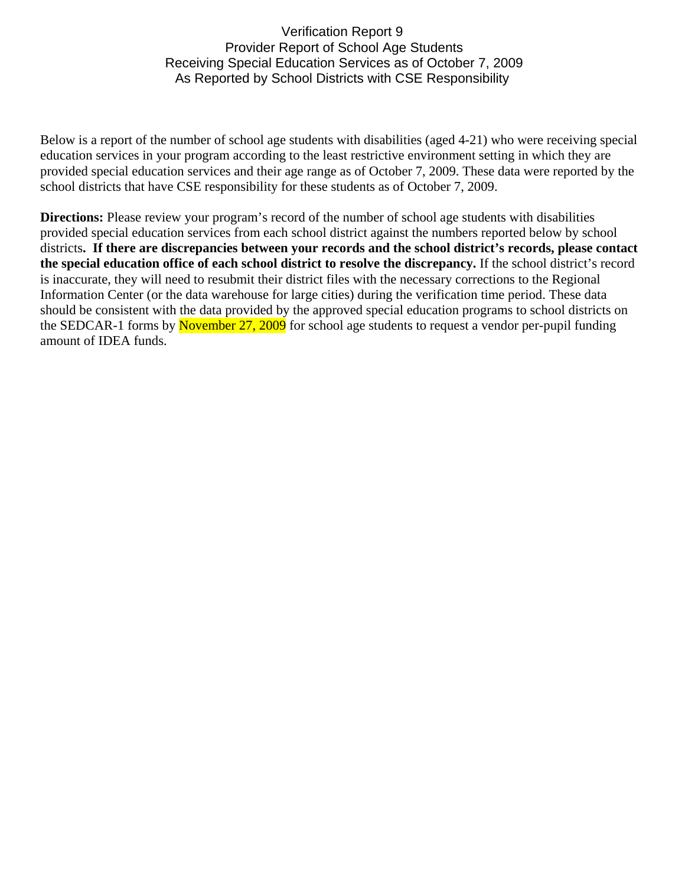## Verification Report 9 Provider Report of School Age Students Receiving Special Education Services as of October 7, 2009 As Reported by School Districts with CSE Responsibility

Below is a report of the number of school age students with disabilities (aged 4-21) who were receiving special education services in your program according to the least restrictive environment setting in which they are provided special education services and their age range as of October 7, 2009. These data were reported by the school districts that have CSE responsibility for these students as of October 7, 2009.

**Directions:** Please review your program's record of the number of school age students with disabilities provided special education services from each school district against the numbers reported below by school districts**. If there are discrepancies between your records and the school district's records, please contact the special education office of each school district to resolve the discrepancy.** If the school district's record is inaccurate, they will need to resubmit their district files with the necessary corrections to the Regional Information Center (or the data warehouse for large cities) during the verification time period. These data should be consistent with the data provided by the approved special education programs to school districts on the SEDCAR-1 forms by November 27, 2009 for school age students to request a vendor per-pupil funding amount of IDEA funds.